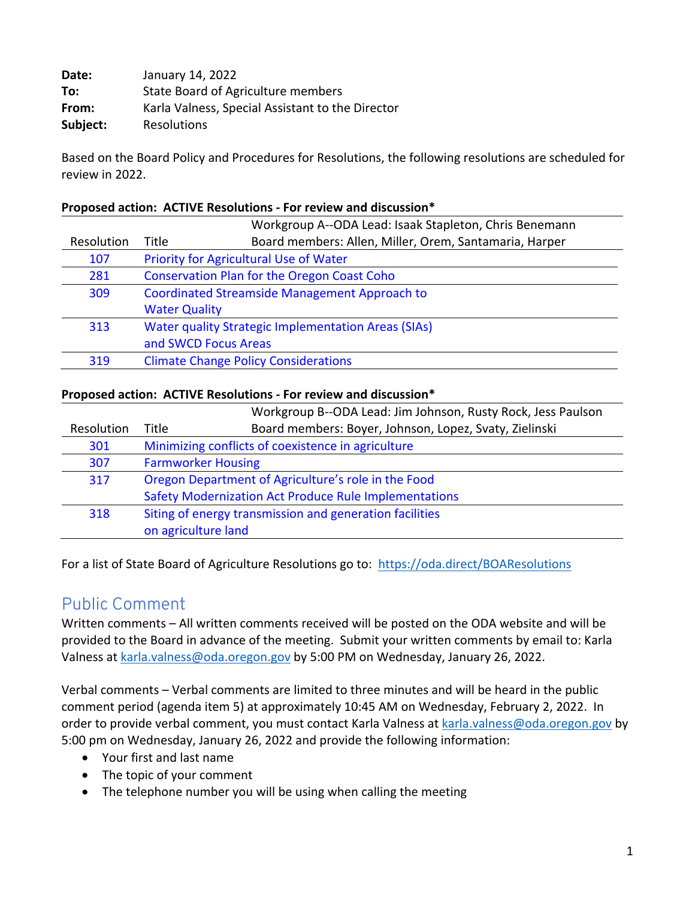| Date:    | January 14, 2022                                 |
|----------|--------------------------------------------------|
| To:      | State Board of Agriculture members               |
| From:    | Karla Valness, Special Assistant to the Director |
| Subject: | Resolutions                                      |

Based on the Board Policy and Procedures for Resolutions, the following resolutions are scheduled for review in 2022.

#### **Proposed action: ACTIVE Resolutions - For review and discussion\***

|            |                                                                 | Workgroup A--ODA Lead: Isaak Stapleton, Chris Benemann |  |
|------------|-----------------------------------------------------------------|--------------------------------------------------------|--|
| Resolution | Board members: Allen, Miller, Orem, Santamaria, Harper<br>Title |                                                        |  |
| 107        | Priority for Agricultural Use of Water                          |                                                        |  |
| 281        |                                                                 | <b>Conservation Plan for the Oregon Coast Coho</b>     |  |
| 309        | <b>Coordinated Streamside Management Approach to</b>            |                                                        |  |
|            | <b>Water Quality</b>                                            |                                                        |  |
| 313        | <b>Water quality Strategic Implementation Areas (SIAs)</b>      |                                                        |  |
|            | and SWCD Focus Areas                                            |                                                        |  |
| 319        | <b>Climate Change Policy Considerations</b>                     |                                                        |  |

#### **Proposed action: ACTIVE Resolutions - For review and discussion\***

|            | Workgroup B--ODA Lead: Jim Johnson, Rusty Rock, Jess Paulson    |  |
|------------|-----------------------------------------------------------------|--|
| Resolution | Board members: Boyer, Johnson, Lopez, Svaty, Zielinski<br>Title |  |
| 301        | Minimizing conflicts of coexistence in agriculture              |  |
| 307        | <b>Farmworker Housing</b>                                       |  |
| 317        | Oregon Department of Agriculture's role in the Food             |  |
|            | Safety Modernization Act Produce Rule Implementations           |  |
| 318        | Siting of energy transmission and generation facilities         |  |
|            | on agriculture land                                             |  |

For a list of State Board of Agriculture Resolutions go to: https://oda.direct/BOAResolutions

### Public Comment

Written comments – All written comments received will be posted on the ODA website and will be provided to the Board in advance of the meeting. Submit your written comments by email to: Karla Valness at karla.valness@oda.oregon.gov by 5:00 PM on Wednesday, January 26, 2022.

Verbal comments – Verbal comments are limited to three minutes and will be heard in the public comment period (agenda item 5) at approximately 10:45 AM on Wednesday, February 2, 2022. In order to provide verbal comment, you must contact Karla Valness at karla.valness@oda.oregon.gov by 5:00 pm on Wednesday, January 26, 2022 and provide the following information:

- Your first and last name
- The topic of your comment
- The telephone number you will be using when calling the meeting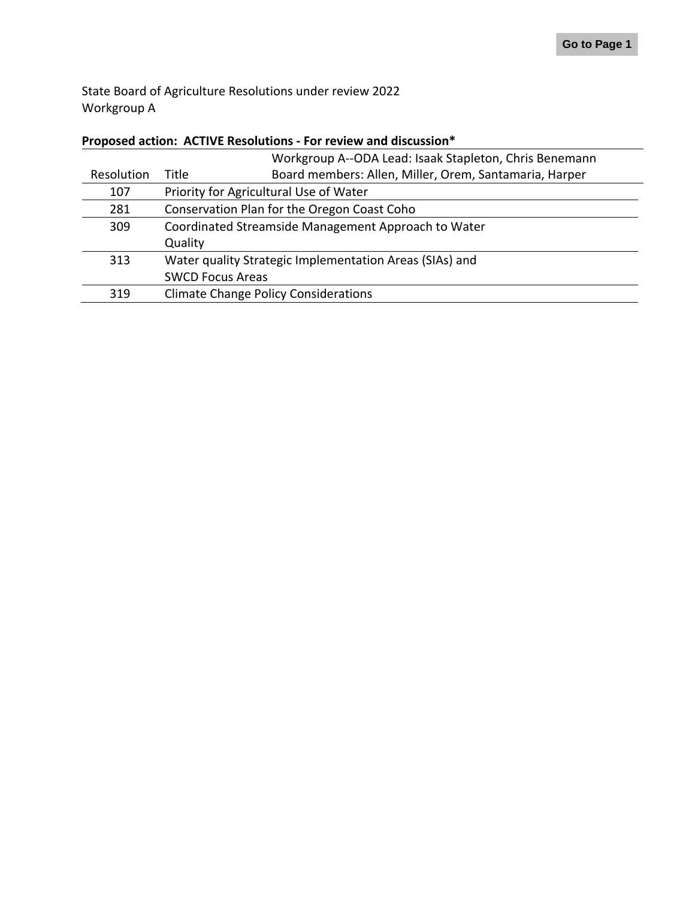State Board of Agriculture Resolutions under review 2022 Workgroup A

#### **Proposed action: ACTIVE Resolutions - For review and discussion\***

|                                                                               | Workgroup A--ODA Lead: Isaak Stapleton, Chris Benemann |
|-------------------------------------------------------------------------------|--------------------------------------------------------|
| Board members: Allen, Miller, Orem, Santamaria, Harper<br>Resolution<br>Title |                                                        |
| Priority for Agricultural Use of Water                                        |                                                        |
| Conservation Plan for the Oregon Coast Coho                                   |                                                        |
| Coordinated Streamside Management Approach to Water                           |                                                        |
| Quality                                                                       |                                                        |
| Water quality Strategic Implementation Areas (SIAs) and                       |                                                        |
| <b>SWCD Focus Areas</b>                                                       |                                                        |
| <b>Climate Change Policy Considerations</b>                                   |                                                        |
|                                                                               |                                                        |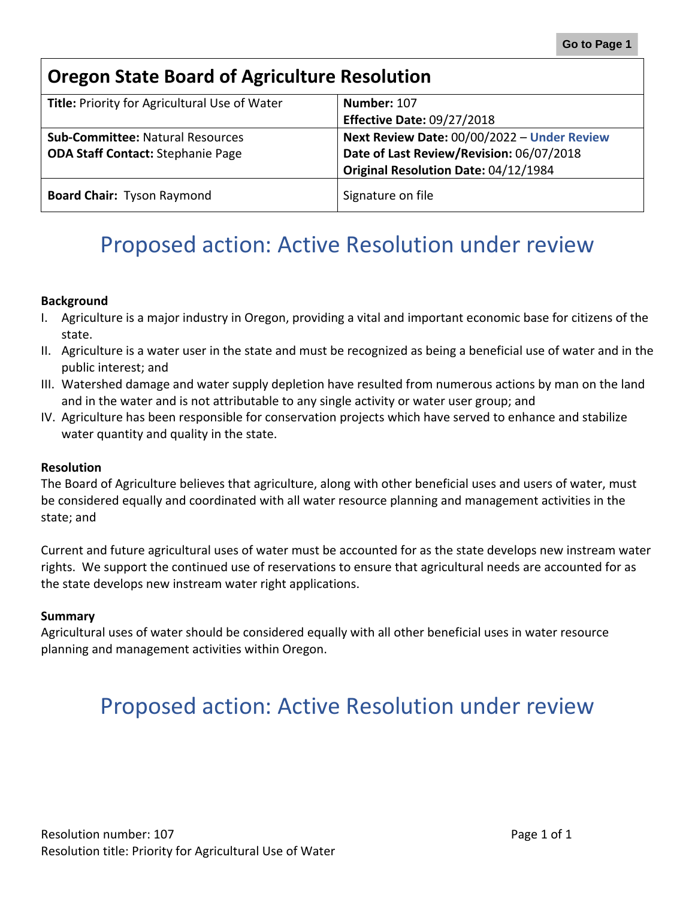<span id="page-2-0"></span>

| <b>Oregon State Board of Agriculture Resolution</b> |                                             |  |
|-----------------------------------------------------|---------------------------------------------|--|
| Title: Priority for Agricultural Use of Water       | Number: 107                                 |  |
|                                                     | <b>Effective Date: 09/27/2018</b>           |  |
| <b>Sub-Committee: Natural Resources</b>             | Next Review Date: 00/00/2022 - Under Review |  |
| <b>ODA Staff Contact: Stephanie Page</b>            | Date of Last Review/Revision: 06/07/2018    |  |
|                                                     | Original Resolution Date: 04/12/1984        |  |
| <b>Board Chair: Tyson Raymond</b>                   | Signature on file                           |  |

#### **Background**

- I. Agriculture is a major industry in Oregon, providing a vital and important economic base for citizens of the state.
- II. Agriculture is a water user in the state and must be recognized as being a beneficial use of water and in the public interest; and
- III. Watershed damage and water supply depletion have resulted from numerous actions by man on the land and in the water and is not attributable to any single activity or water user group; and
- IV. Agriculture has been responsible for conservation projects which have served to enhance and stabilize water quantity and quality in the state.

#### **Resolution**

The Board of Agriculture believes that agriculture, along with other beneficial uses and users of water, must be considered equally and coordinated with all water resource planning and management activities in the state; and

Current and future agricultural uses of water must be accounted for as the state develops new instream water rights. We support the continued use of reservations to ensure that agricultural needs are accounted for as the state develops new instream water right applications.

#### **Summary**

Agricultural uses of water should be considered equally with all other beneficial uses in water resource planning and management activities within Oregon.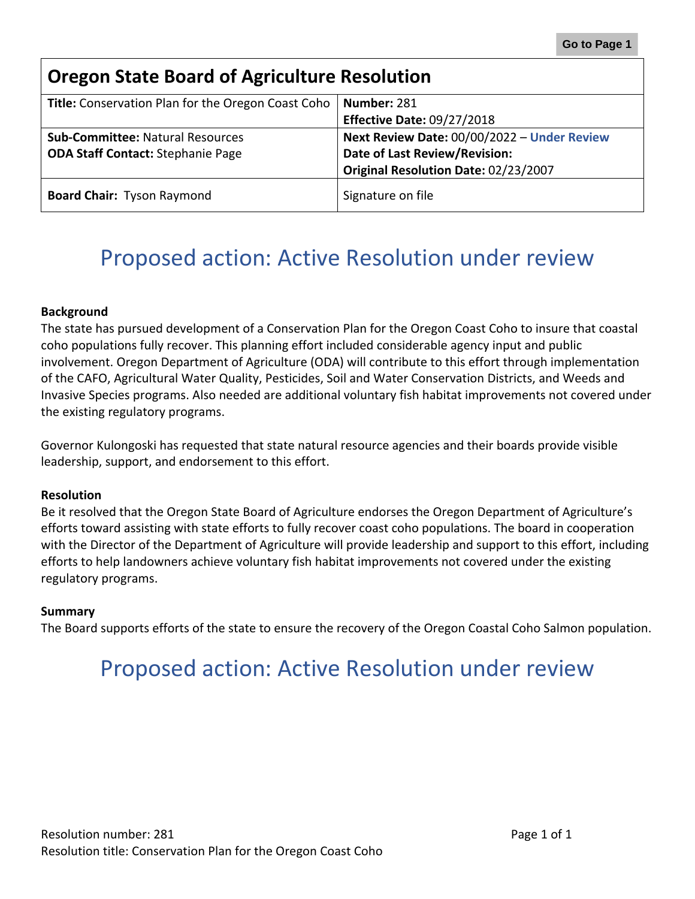<span id="page-3-0"></span>

| <b>Oregon State Board of Agriculture Resolution</b> |                                             |  |
|-----------------------------------------------------|---------------------------------------------|--|
| Title: Conservation Plan for the Oregon Coast Coho  | Number: 281                                 |  |
|                                                     | <b>Effective Date: 09/27/2018</b>           |  |
| <b>Sub-Committee: Natural Resources</b>             | Next Review Date: 00/00/2022 - Under Review |  |
| <b>ODA Staff Contact: Stephanie Page</b>            | Date of Last Review/Revision:               |  |
|                                                     | Original Resolution Date: 02/23/2007        |  |
| <b>Board Chair: Tyson Raymond</b>                   | Signature on file                           |  |

#### **Background**

The state has pursued development of a Conservation Plan for the Oregon Coast Coho to insure that coastal coho populations fully recover. This planning effort included considerable agency input and public involvement. Oregon Department of Agriculture (ODA) will contribute to this effort through implementation of the CAFO, Agricultural Water Quality, Pesticides, Soil and Water Conservation Districts, and Weeds and Invasive Species programs. Also needed are additional voluntary fish habitat improvements not covered under the existing regulatory programs.

Governor Kulongoski has requested that state natural resource agencies and their boards provide visible leadership, support, and endorsement to this effort.

#### **Resolution**

Be it resolved that the Oregon State Board of Agriculture endorses the Oregon Department of Agriculture's efforts toward assisting with state efforts to fully recover coast coho populations. The board in cooperation with the Director of the Department of Agriculture will provide leadership and support to this effort, including efforts to help landowners achieve voluntary fish habitat improvements not covered under the existing regulatory programs.

#### **Summary**

The Board supports efforts of the state to ensure the recovery of the Oregon Coastal Coho Salmon population.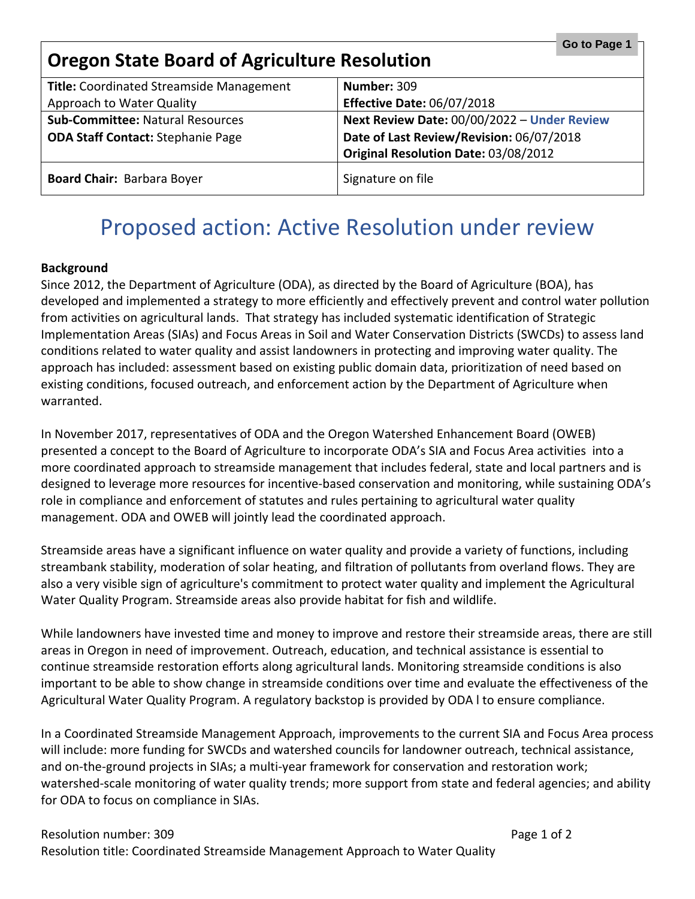<span id="page-4-0"></span>

| Go to Page 1<br><b>Oregon State Board of Agriculture Resolution</b> |                                             |  |
|---------------------------------------------------------------------|---------------------------------------------|--|
| Title: Coordinated Streamside Management                            | <b>Number: 309</b>                          |  |
| Approach to Water Quality                                           | <b>Effective Date: 06/07/2018</b>           |  |
| <b>Sub-Committee: Natural Resources</b>                             | Next Review Date: 00/00/2022 - Under Review |  |
| <b>ODA Staff Contact: Stephanie Page</b>                            | Date of Last Review/Revision: 06/07/2018    |  |
|                                                                     | Original Resolution Date: 03/08/2012        |  |
| <b>Board Chair: Barbara Boyer</b>                                   | Signature on file                           |  |

#### **Background**

Since 2012, the Department of Agriculture (ODA), as directed by the Board of Agriculture (BOA), has developed and implemented a strategy to more efficiently and effectively prevent and control water pollution from activities on agricultural lands. That strategy has included systematic identification of Strategic Implementation Areas (SIAs) and Focus Areas in Soil and Water Conservation Districts (SWCDs) to assess land conditions related to water quality and assist landowners in protecting and improving water quality. The approach has included: assessment based on existing public domain data, prioritization of need based on existing conditions, focused outreach, and enforcement action by the Department of Agriculture when warranted.

In November 2017, representatives of ODA and the Oregon Watershed Enhancement Board (OWEB) presented a concept to the Board of Agriculture to incorporate ODA's SIA and Focus Area activities into a more coordinated approach to streamside management that includes federal, state and local partners and is designed to leverage more resources for incentive-based conservation and monitoring, while sustaining ODA's role in compliance and enforcement of statutes and rules pertaining to agricultural water quality management. ODA and OWEB will jointly lead the coordinated approach.

Streamside areas have a significant influence on water quality and provide a variety of functions, including streambank stability, moderation of solar heating, and filtration of pollutants from overland flows. They are also a very visible sign of agriculture's commitment to protect water quality and implement the Agricultural Water Quality Program. Streamside areas also provide habitat for fish and wildlife.

While landowners have invested time and money to improve and restore their streamside areas, there are still areas in Oregon in need of improvement. Outreach, education, and technical assistance is essential to continue streamside restoration efforts along agricultural lands. Monitoring streamside conditions is also important to be able to show change in streamside conditions over time and evaluate the effectiveness of the Agricultural Water Quality Program. A regulatory backstop is provided by ODA l to ensure compliance.

In a Coordinated Streamside Management Approach, improvements to the current SIA and Focus Area process will include: more funding for SWCDs and watershed councils for landowner outreach, technical assistance, and on-the-ground projects in SIAs; a multi-year framework for conservation and restoration work; watershed-scale monitoring of water quality trends; more support from state and federal agencies; and ability for ODA to focus on compliance in SIAs.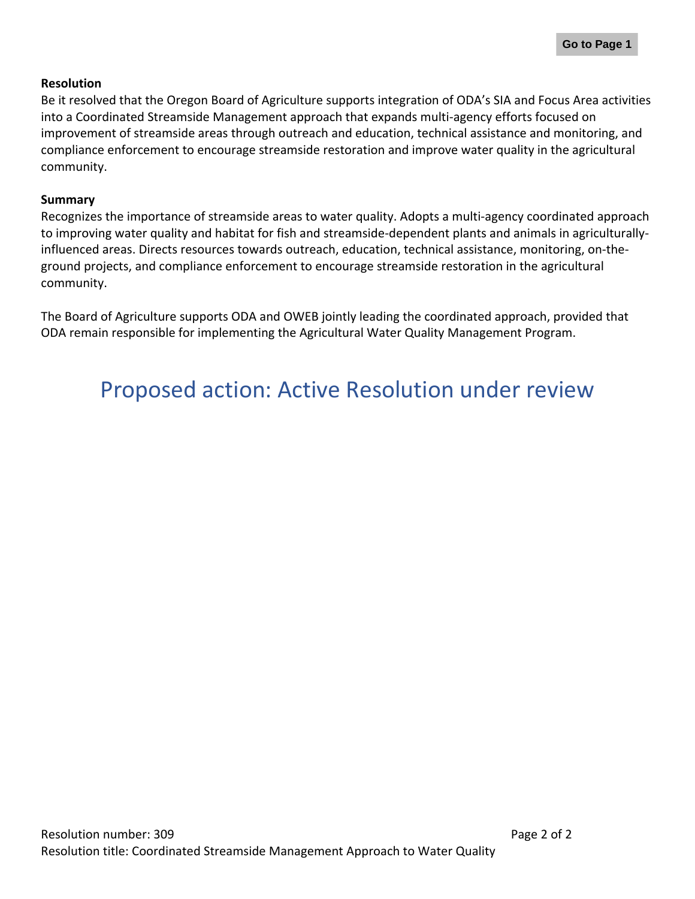#### **Resolution**

Be it resolved that the Oregon Board of Agriculture supports integration of ODA's SIA and Focus Area activities into a Coordinated Streamside Management approach that expands multi-agency efforts focused on improvement of streamside areas through outreach and education, technical assistance and monitoring, and compliance enforcement to encourage streamside restoration and improve water quality in the agricultural community.

#### **Summary**

Recognizes the importance of streamside areas to water quality. Adopts a multi-agency coordinated approach to improving water quality and habitat for fish and streamside-dependent plants and animals in agriculturallyinfluenced areas. Directs resources towards outreach, education, technical assistance, monitoring, on-theground projects, and compliance enforcement to encourage streamside restoration in the agricultural community.

The Board of Agriculture supports ODA and OWEB jointly leading the coordinated approach, provided that ODA remain responsible for implementing the Agricultural Water Quality Management Program.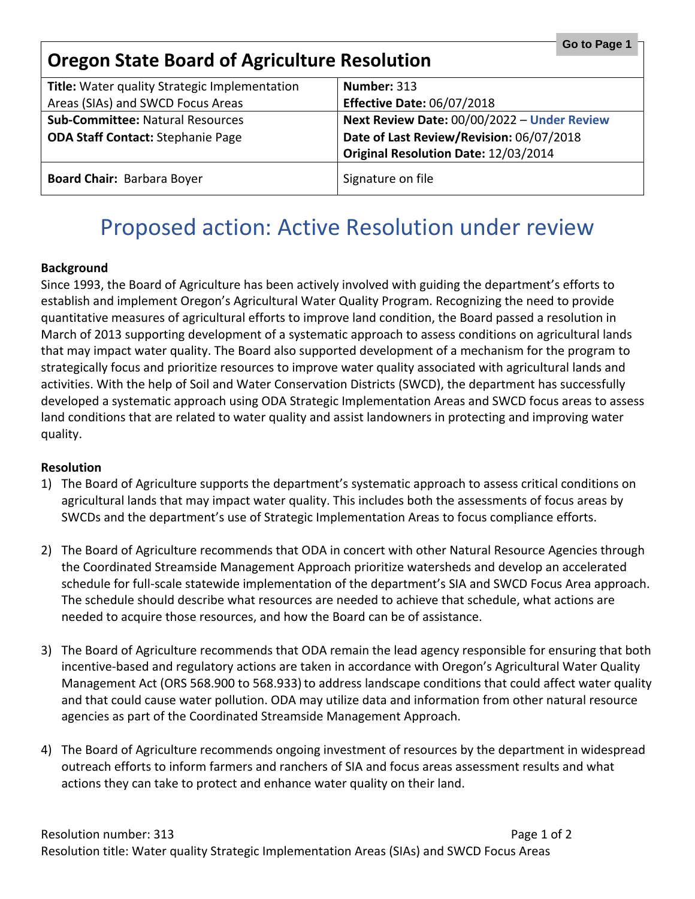<span id="page-6-0"></span>

| Go to Page 1<br><b>Oregon State Board of Agriculture Resolution</b> |                                             |  |
|---------------------------------------------------------------------|---------------------------------------------|--|
| Title: Water quality Strategic Implementation                       | Number: 313                                 |  |
| Areas (SIAs) and SWCD Focus Areas                                   | <b>Effective Date: 06/07/2018</b>           |  |
| <b>Sub-Committee: Natural Resources</b>                             | Next Review Date: 00/00/2022 - Under Review |  |
| <b>ODA Staff Contact: Stephanie Page</b>                            | Date of Last Review/Revision: 06/07/2018    |  |
|                                                                     | Original Resolution Date: 12/03/2014        |  |
| <b>Board Chair: Barbara Boyer</b>                                   | Signature on file                           |  |

#### **Background**

Since 1993, the Board of Agriculture has been actively involved with guiding the department's efforts to establish and implement Oregon's Agricultural Water Quality Program. Recognizing the need to provide quantitative measures of agricultural efforts to improve land condition, the Board passed a resolution in March of 2013 supporting development of a systematic approach to assess conditions on agricultural lands that may impact water quality. The Board also supported development of a mechanism for the program to strategically focus and prioritize resources to improve water quality associated with agricultural lands and activities. With the help of Soil and Water Conservation Districts (SWCD), the department has successfully developed a systematic approach using ODA Strategic Implementation Areas and SWCD focus areas to assess land conditions that are related to water quality and assist landowners in protecting and improving water quality.

#### **Resolution**

- 1) The Board of Agriculture supports the department's systematic approach to assess critical conditions on agricultural lands that may impact water quality. This includes both the assessments of focus areas by SWCDs and the department's use of Strategic Implementation Areas to focus compliance efforts.
- 2) The Board of Agriculture recommends that ODA in concert with other Natural Resource Agencies through the Coordinated Streamside Management Approach prioritize watersheds and develop an accelerated schedule for full-scale statewide implementation of the department's SIA and SWCD Focus Area approach. The schedule should describe what resources are needed to achieve that schedule, what actions are needed to acquire those resources, and how the Board can be of assistance.
- 3) The Board of Agriculture recommends that ODA remain the lead agency responsible for ensuring that both incentive-based and regulatory actions are taken in accordance with Oregon's Agricultural Water Quality Management Act (ORS 568.900 to 568.933) to address landscape conditions that could affect water quality and that could cause water pollution. ODA may utilize data and information from other natural resource agencies as part of the Coordinated Streamside Management Approach.
- 4) The Board of Agriculture recommends ongoing investment of resources by the department in widespread outreach efforts to inform farmers and ranchers of SIA and focus areas assessment results and what actions they can take to protect and enhance water quality on their land.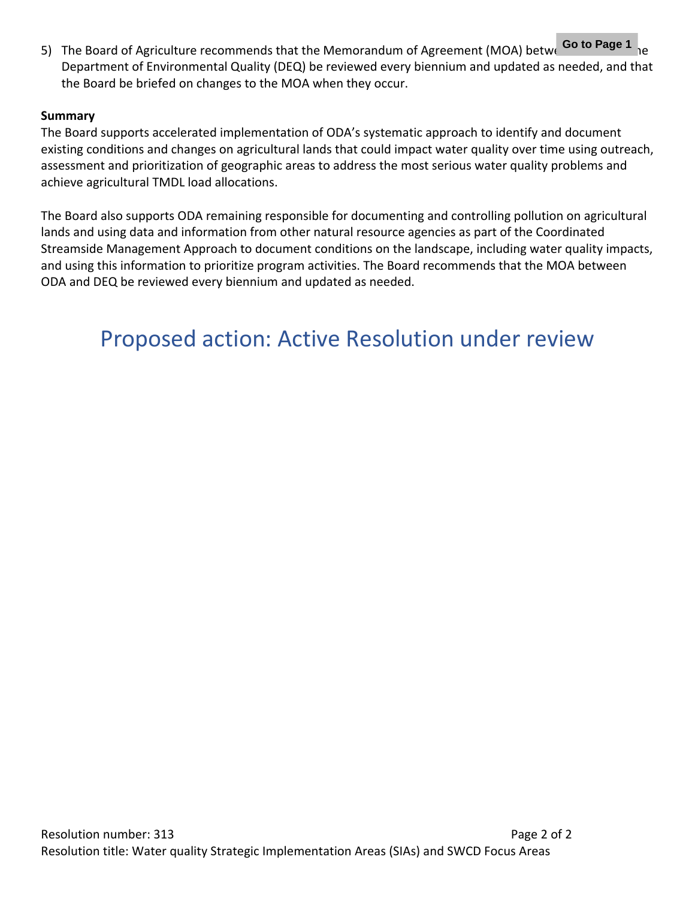5) The Board of Agriculture recommends that the Memorandum of Agreement (MOA) betwe Go to Page 1 <sub>he</sub> Department of Environmental Quality (DEQ) be reviewed every biennium and updated as needed, and that the Board be briefed on changes to the MOA when they occur.

#### **Summary**

The Board supports accelerated implementation of ODA's systematic approach to identify and document existing conditions and changes on agricultural lands that could impact water quality over time using outreach, assessment and prioritization of geographic areas to address the most serious water quality problems and achieve agricultural TMDL load allocations.

The Board also supports ODA remaining responsible for documenting and controlling pollution on agricultural lands and using data and information from other natural resource agencies as part of the Coordinated Streamside Management Approach to document conditions on the landscape, including water quality impacts, and using this information to prioritize program activities. The Board recommends that the MOA between ODA and DEQ be reviewed every biennium and updated as needed.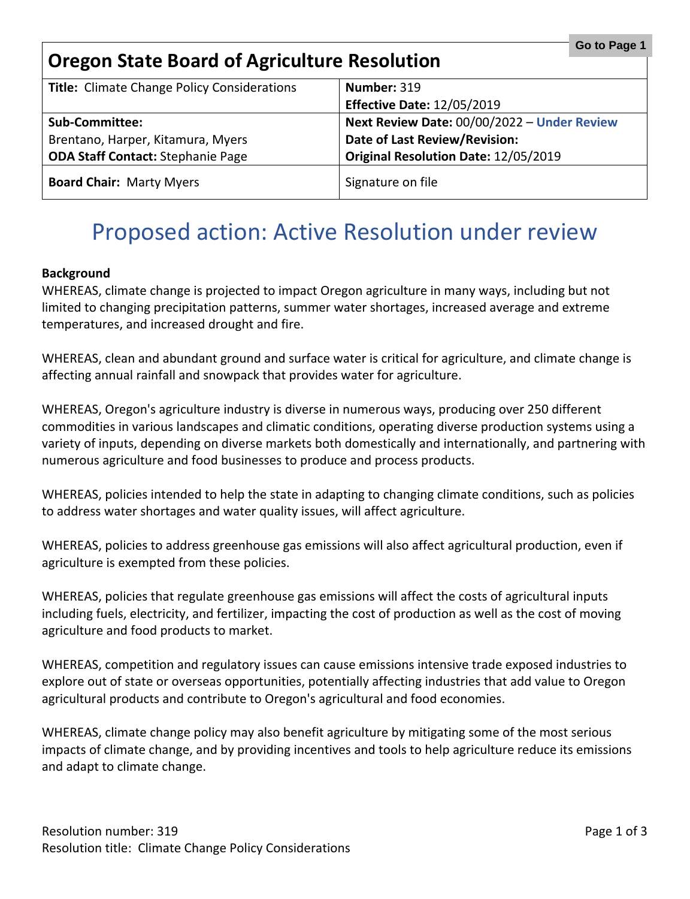### <span id="page-8-0"></span>**Oregon State Board of Agriculture Resolution**

| <b>Title:</b> Climate Change Policy Considerations | Number: 319                                 |
|----------------------------------------------------|---------------------------------------------|
|                                                    | <b>Effective Date: 12/05/2019</b>           |
| <b>Sub-Committee:</b>                              | Next Review Date: 00/00/2022 - Under Review |
| Brentano, Harper, Kitamura, Myers                  | <b>Date of Last Review/Revision:</b>        |
| <b>ODA Staff Contact: Stephanie Page</b>           | Original Resolution Date: 12/05/2019        |
| <b>Board Chair: Marty Myers</b>                    | Signature on file                           |

### Proposed action: Active Resolution under review

#### **Background**

WHEREAS, climate change is projected to impact Oregon agriculture in many ways, including but not limited to changing precipitation patterns, summer water shortages, increased average and extreme temperatures, and increased drought and fire.

WHEREAS, clean and abundant ground and surface water is critical for agriculture, and climate change is affecting annual rainfall and snowpack that provides water for agriculture.

WHEREAS, Oregon's agriculture industry is diverse in numerous ways, producing over 250 different commodities in various landscapes and climatic conditions, operating diverse production systems using a variety of inputs, depending on diverse markets both domestically and internationally, and partnering with numerous agriculture and food businesses to produce and process products.

WHEREAS, policies intended to help the state in adapting to changing climate conditions, such as policies to address water shortages and water quality issues, will affect agriculture.

WHEREAS, policies to address greenhouse gas emissions will also affect agricultural production, even if agriculture is exempted from these policies.

WHEREAS, policies that regulate greenhouse gas emissions will affect the costs of agricultural inputs including fuels, electricity, and fertilizer, impacting the cost of production as well as the cost of moving agriculture and food products to market.

WHEREAS, competition and regulatory issues can cause emissions intensive trade exposed industries to explore out of state or overseas opportunities, potentially affecting industries that add value to Oregon agricultural products and contribute to Oregon's agricultural and food economies.

WHEREAS, climate change policy may also benefit agriculture by mitigating some of the most serious impacts of climate change, and by providing incentives and tools to help agriculture reduce its emissions and adapt to climate change.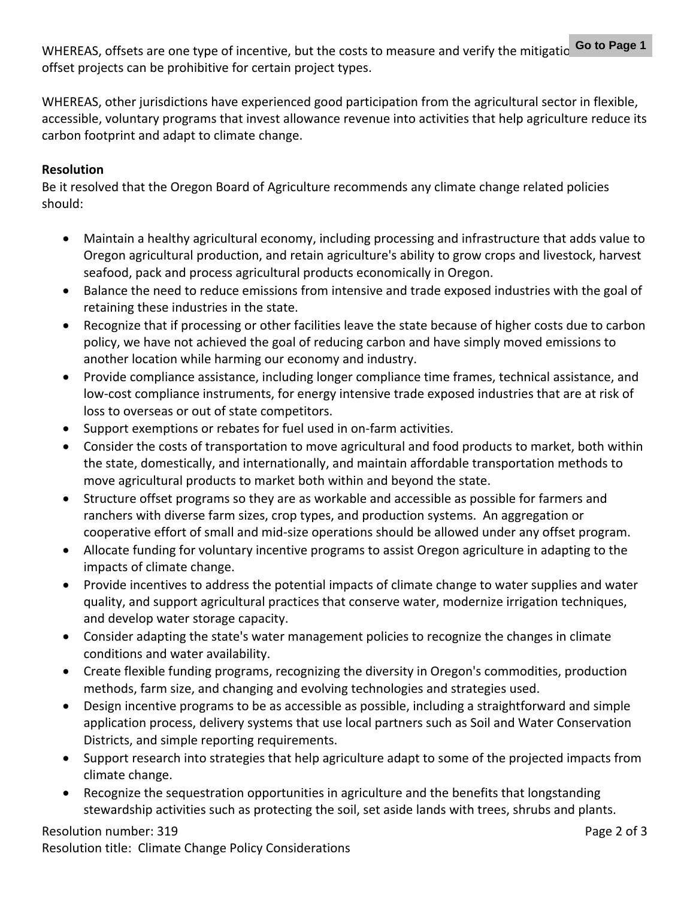WHEREAS, offsets are one type of incentive, but the costs to measure and verify the mitigatio **Go to Page 1** offset projects can be prohibitive for certain project types.

WHEREAS, other jurisdictions have experienced good participation from the agricultural sector in flexible, accessible, voluntary programs that invest allowance revenue into activities that help agriculture reduce its carbon footprint and adapt to climate change.

#### **Resolution**

Be it resolved that the Oregon Board of Agriculture recommends any climate change related policies should:

- Maintain a healthy agricultural economy, including processing and infrastructure that adds value to Oregon agricultural production, and retain agriculture's ability to grow crops and livestock, harvest seafood, pack and process agricultural products economically in Oregon.
- Balance the need to reduce emissions from intensive and trade exposed industries with the goal of retaining these industries in the state.
- Recognize that if processing or other facilities leave the state because of higher costs due to carbon policy, we have not achieved the goal of reducing carbon and have simply moved emissions to another location while harming our economy and industry.
- Provide compliance assistance, including longer compliance time frames, technical assistance, and low-cost compliance instruments, for energy intensive trade exposed industries that are at risk of loss to overseas or out of state competitors.
- Support exemptions or rebates for fuel used in on-farm activities.
- Consider the costs of transportation to move agricultural and food products to market, both within the state, domestically, and internationally, and maintain affordable transportation methods to move agricultural products to market both within and beyond the state.
- Structure offset programs so they are as workable and accessible as possible for farmers and ranchers with diverse farm sizes, crop types, and production systems. An aggregation or cooperative effort of small and mid-size operations should be allowed under any offset program.
- Allocate funding for voluntary incentive programs to assist Oregon agriculture in adapting to the impacts of climate change.
- Provide incentives to address the potential impacts of climate change to water supplies and water quality, and support agricultural practices that conserve water, modernize irrigation techniques, and develop water storage capacity.
- Consider adapting the state's water management policies to recognize the changes in climate conditions and water availability.
- Create flexible funding programs, recognizing the diversity in Oregon's commodities, production methods, farm size, and changing and evolving technologies and strategies used.
- Design incentive programs to be as accessible as possible, including a straightforward and simple application process, delivery systems that use local partners such as Soil and Water Conservation Districts, and simple reporting requirements.
- Support research into strategies that help agriculture adapt to some of the projected impacts from climate change.
- Recognize the sequestration opportunities in agriculture and the benefits that longstanding stewardship activities such as protecting the soil, set aside lands with trees, shrubs and plants.

### Resolution number: 319

Resolution title: Climate Change Policy Considerations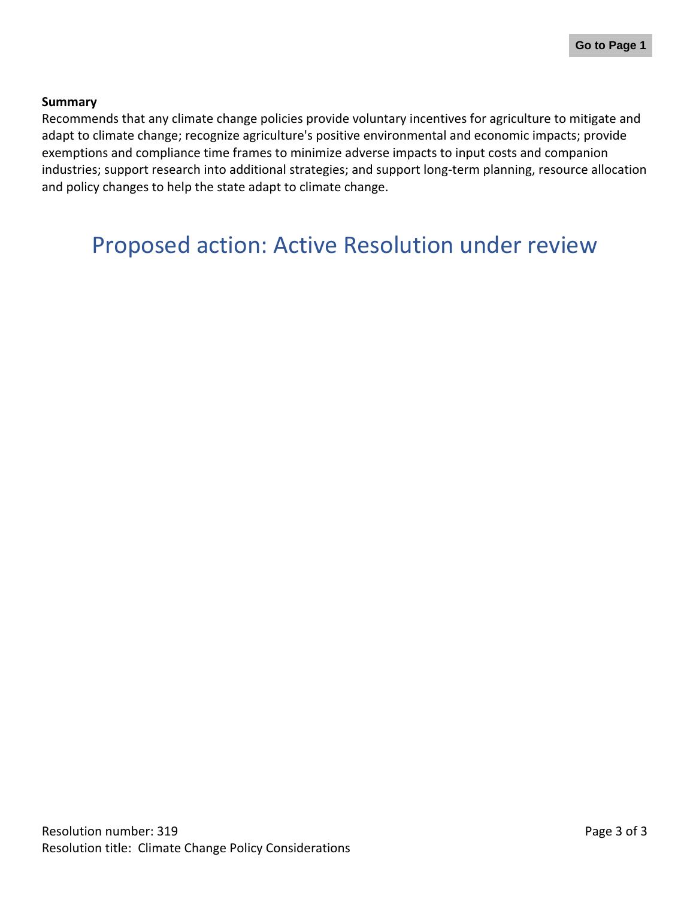#### **Summary**

Recommends that any climate change policies provide voluntary incentives for agriculture to mitigate and adapt to climate change; recognize agriculture's positive environmental and economic impacts; provide exemptions and compliance time frames to minimize adverse impacts to input costs and companion industries; support research into additional strategies; and support long-term planning, resource allocation and policy changes to help the state adapt to climate change.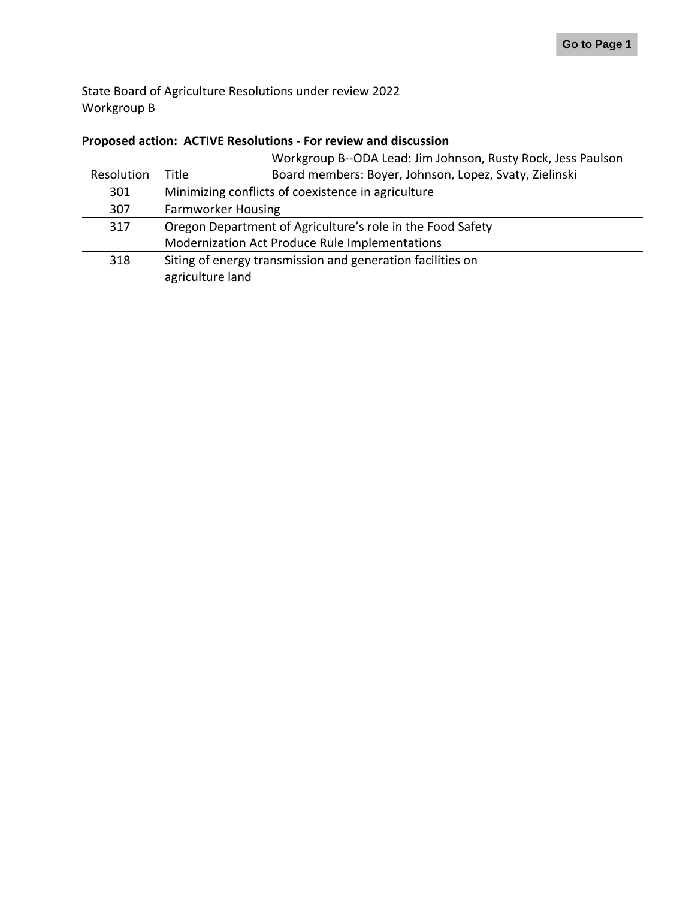State Board of Agriculture Resolutions under review 2022 Workgroup B

#### **Proposed action: ACTIVE Resolutions - For review and discussion**

|            |                                                            | Workgroup B--ODA Lead: Jim Johnson, Rusty Rock, Jess Paulson |
|------------|------------------------------------------------------------|--------------------------------------------------------------|
| Resolution | Title                                                      | Board members: Boyer, Johnson, Lopez, Svaty, Zielinski       |
| 301        | Minimizing conflicts of coexistence in agriculture         |                                                              |
| 307        | <b>Farmworker Housing</b>                                  |                                                              |
| 317        | Oregon Department of Agriculture's role in the Food Safety |                                                              |
|            | Modernization Act Produce Rule Implementations             |                                                              |
| 318        | Siting of energy transmission and generation facilities on |                                                              |
|            | agriculture land                                           |                                                              |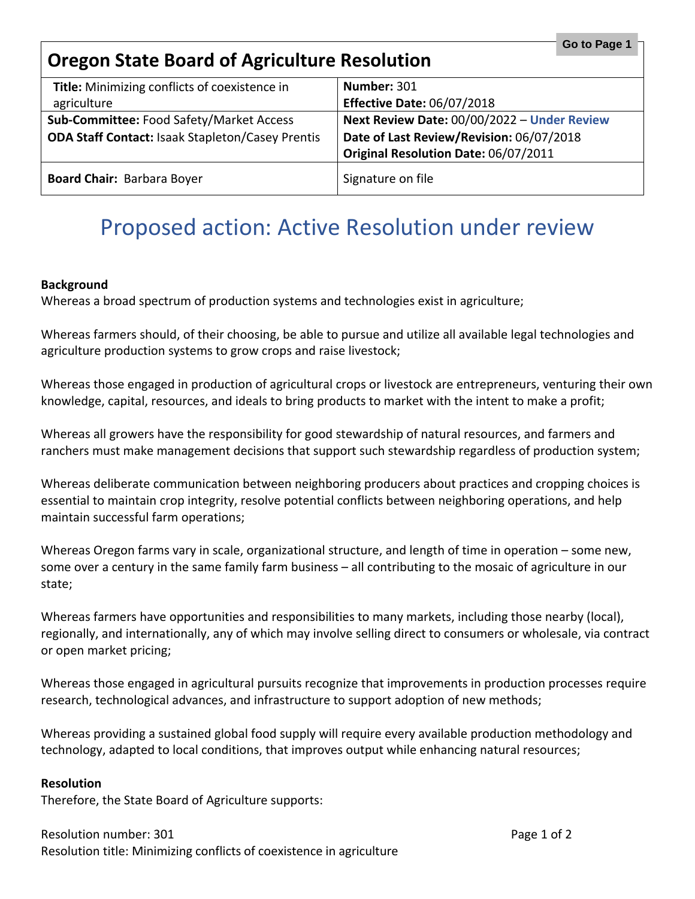<span id="page-12-0"></span>

| Go to Page 1<br><b>Oregon State Board of Agriculture Resolution</b> |                                             |  |
|---------------------------------------------------------------------|---------------------------------------------|--|
| Title: Minimizing conflicts of coexistence in                       | Number: 301                                 |  |
| agriculture                                                         | <b>Effective Date: 06/07/2018</b>           |  |
| Sub-Committee: Food Safety/Market Access                            | Next Review Date: 00/00/2022 - Under Review |  |
| <b>ODA Staff Contact: Isaak Stapleton/Casey Prentis</b>             | Date of Last Review/Revision: 06/07/2018    |  |
|                                                                     | Original Resolution Date: 06/07/2011        |  |
| <b>Board Chair: Barbara Boyer</b>                                   | Signature on file                           |  |

#### **Background**

Whereas a broad spectrum of production systems and technologies exist in agriculture;

Whereas farmers should, of their choosing, be able to pursue and utilize all available legal technologies and agriculture production systems to grow crops and raise livestock;

Whereas those engaged in production of agricultural crops or livestock are entrepreneurs, venturing their own knowledge, capital, resources, and ideals to bring products to market with the intent to make a profit;

Whereas all growers have the responsibility for good stewardship of natural resources, and farmers and ranchers must make management decisions that support such stewardship regardless of production system;

Whereas deliberate communication between neighboring producers about practices and cropping choices is essential to maintain crop integrity, resolve potential conflicts between neighboring operations, and help maintain successful farm operations;

Whereas Oregon farms vary in scale, organizational structure, and length of time in operation – some new, some over a century in the same family farm business – all contributing to the mosaic of agriculture in our state;

Whereas farmers have opportunities and responsibilities to many markets, including those nearby (local), regionally, and internationally, any of which may involve selling direct to consumers or wholesale, via contract or open market pricing;

Whereas those engaged in agricultural pursuits recognize that improvements in production processes require research, technological advances, and infrastructure to support adoption of new methods;

Whereas providing a sustained global food supply will require every available production methodology and technology, adapted to local conditions, that improves output while enhancing natural resources;

#### **Resolution**

Therefore, the State Board of Agriculture supports: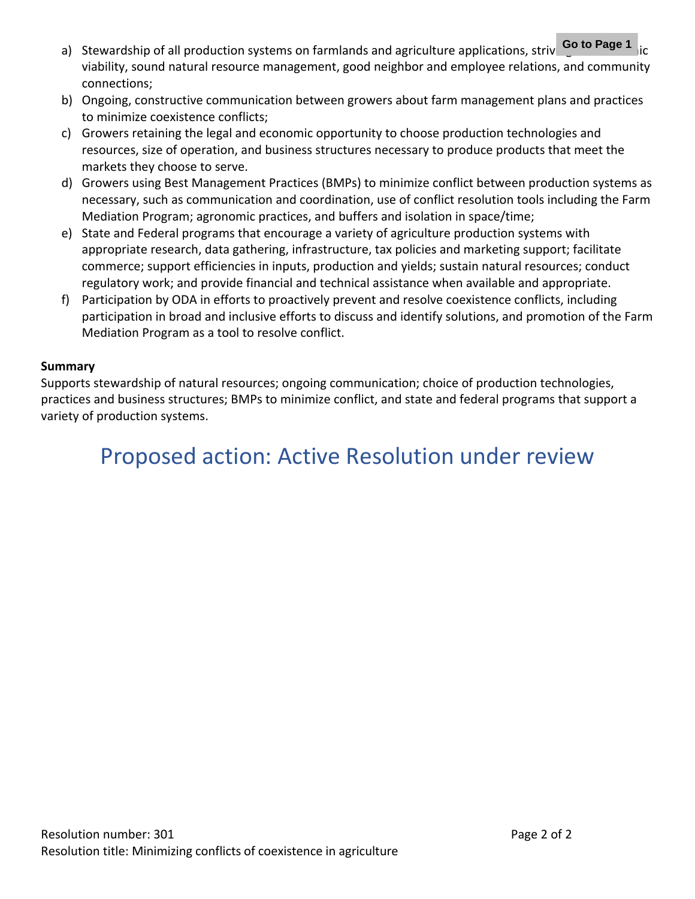- a) Stewardship of all production systems on farmlands and agriculture applications, striving of to Page 1 ic viability, sound natural resource management, good neighbor and employee relations, and community connections;
- b) Ongoing, constructive communication between growers about farm management plans and practices to minimize coexistence conflicts;
- c) Growers retaining the legal and economic opportunity to choose production technologies and resources, size of operation, and business structures necessary to produce products that meet the markets they choose to serve.
- d) Growers using Best Management Practices (BMPs) to minimize conflict between production systems as necessary, such as communication and coordination, use of conflict resolution tools including the Farm Mediation Program; agronomic practices, and buffers and isolation in space/time;
- e) State and Federal programs that encourage a variety of agriculture production systems with appropriate research, data gathering, infrastructure, tax policies and marketing support; facilitate commerce; support efficiencies in inputs, production and yields; sustain natural resources; conduct regulatory work; and provide financial and technical assistance when available and appropriate.
- f) Participation by ODA in efforts to proactively prevent and resolve coexistence conflicts, including participation in broad and inclusive efforts to discuss and identify solutions, and promotion of the Farm Mediation Program as a tool to resolve conflict.

#### **Summary**

Supports stewardship of natural resources; ongoing communication; choice of production technologies, practices and business structures; BMPs to minimize conflict, and state and federal programs that support a variety of production systems.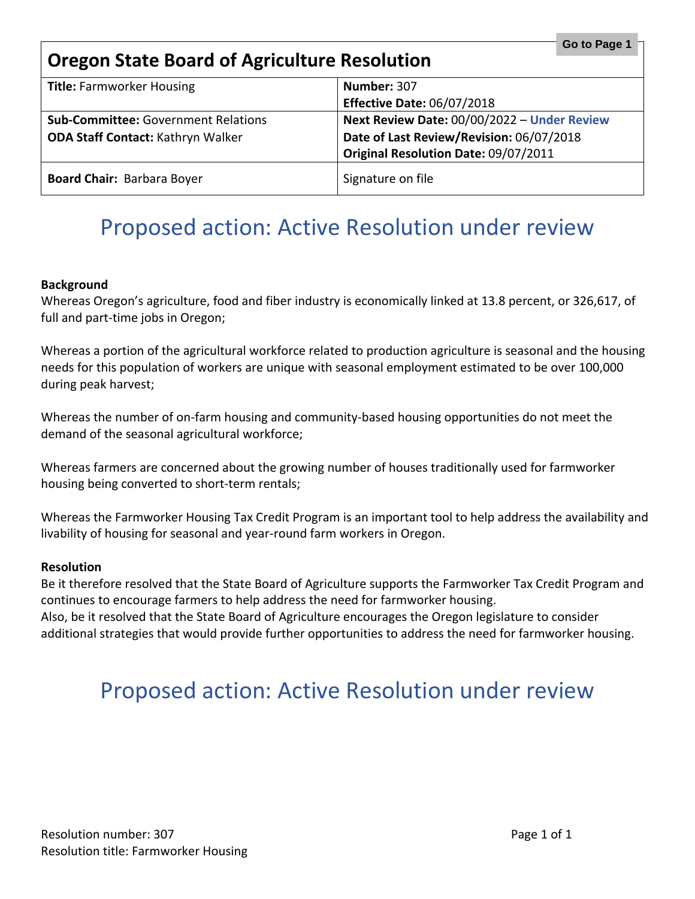<span id="page-14-0"></span>

| Go to Page 1<br><b>Oregon State Board of Agriculture Resolution</b>                    |                                                                                                                                 |
|----------------------------------------------------------------------------------------|---------------------------------------------------------------------------------------------------------------------------------|
| <b>Title: Farmworker Housing</b>                                                       | Number: 307<br><b>Effective Date: 06/07/2018</b>                                                                                |
| <b>Sub-Committee: Government Relations</b><br><b>ODA Staff Contact: Kathryn Walker</b> | Next Review Date: 00/00/2022 - Under Review<br>Date of Last Review/Revision: 06/07/2018<br>Original Resolution Date: 09/07/2011 |
| <b>Board Chair: Barbara Boyer</b>                                                      | Signature on file                                                                                                               |

#### **Background**

Whereas Oregon's agriculture, food and fiber industry is economically linked at 13.8 percent, or 326,617, of full and part-time jobs in Oregon;

Whereas a portion of the agricultural workforce related to production agriculture is seasonal and the housing needs for this population of workers are unique with seasonal employment estimated to be over 100,000 during peak harvest;

Whereas the number of on-farm housing and community-based housing opportunities do not meet the demand of the seasonal agricultural workforce;

Whereas farmers are concerned about the growing number of houses traditionally used for farmworker housing being converted to short-term rentals;

Whereas the Farmworker Housing Tax Credit Program is an important tool to help address the availability and livability of housing for seasonal and year-round farm workers in Oregon.

#### **Resolution**

Be it therefore resolved that the State Board of Agriculture supports the Farmworker Tax Credit Program and continues to encourage farmers to help address the need for farmworker housing. Also, be it resolved that the State Board of Agriculture encourages the Oregon legislature to consider additional strategies that would provide further opportunities to address the need for farmworker housing.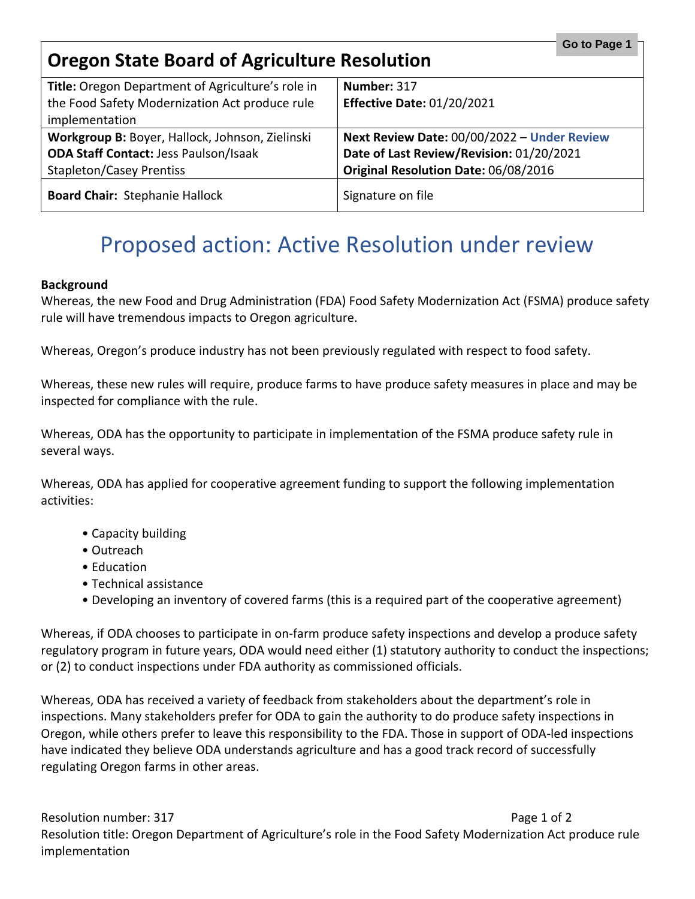<span id="page-15-0"></span>

| Go to Page 1<br><b>Oregon State Board of Agriculture Resolution</b> |                                             |
|---------------------------------------------------------------------|---------------------------------------------|
| Title: Oregon Department of Agriculture's role in                   | Number: 317                                 |
| the Food Safety Modernization Act produce rule                      | <b>Effective Date: 01/20/2021</b>           |
| implementation                                                      |                                             |
| Workgroup B: Boyer, Hallock, Johnson, Zielinski                     | Next Review Date: 00/00/2022 - Under Review |
| <b>ODA Staff Contact: Jess Paulson/Isaak</b>                        | Date of Last Review/Revision: 01/20/2021    |
| <b>Stapleton/Casey Prentiss</b>                                     | Original Resolution Date: 06/08/2016        |
| <b>Board Chair: Stephanie Hallock</b>                               | Signature on file                           |

#### **Background**

Whereas, the new Food and Drug Administration (FDA) Food Safety Modernization Act (FSMA) produce safety rule will have tremendous impacts to Oregon agriculture.

Whereas, Oregon's produce industry has not been previously regulated with respect to food safety.

Whereas, these new rules will require, produce farms to have produce safety measures in place and may be inspected for compliance with the rule.

Whereas, ODA has the opportunity to participate in implementation of the FSMA produce safety rule in several ways.

Whereas, ODA has applied for cooperative agreement funding to support the following implementation activities:

- Capacity building
- Outreach
- Education
- Technical assistance
- Developing an inventory of covered farms (this is a required part of the cooperative agreement)

Whereas, if ODA chooses to participate in on-farm produce safety inspections and develop a produce safety regulatory program in future years, ODA would need either (1) statutory authority to conduct the inspections; or (2) to conduct inspections under FDA authority as commissioned officials.

Whereas, ODA has received a variety of feedback from stakeholders about the department's role in inspections. Many stakeholders prefer for ODA to gain the authority to do produce safety inspections in Oregon, while others prefer to leave this responsibility to the FDA. Those in support of ODA-led inspections have indicated they believe ODA understands agriculture and has a good track record of successfully regulating Oregon farms in other areas.

Resolution number: 317 Page 1 of 2 Resolution title: Oregon Department of Agriculture's role in the Food Safety Modernization Act produce rule implementation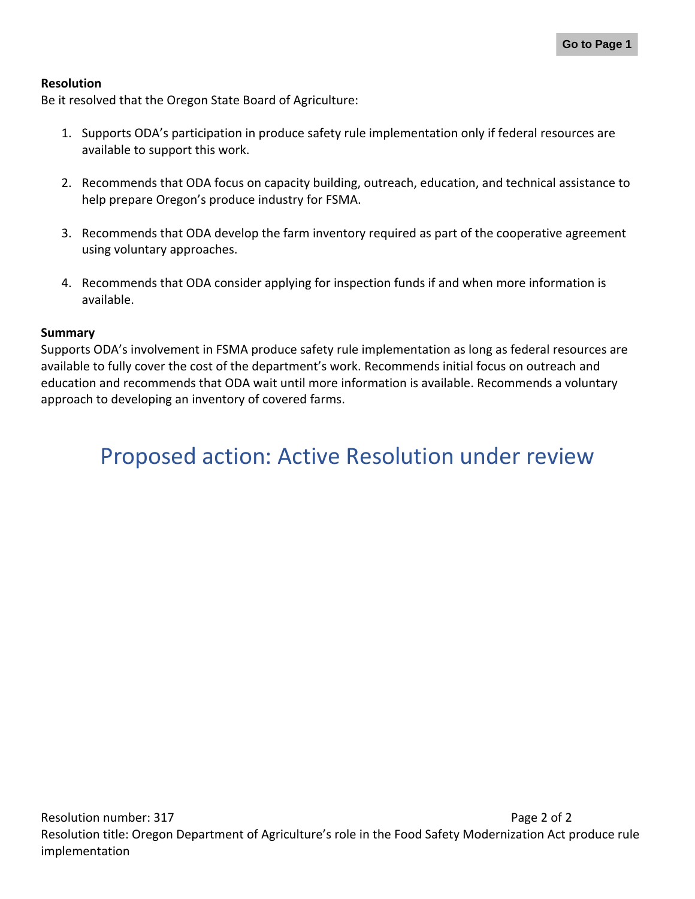#### **Resolution**

Be it resolved that the Oregon State Board of Agriculture:

- 1. Supports ODA's participation in produce safety rule implementation only if federal resources are available to support this work.
- 2. Recommends that ODA focus on capacity building, outreach, education, and technical assistance to help prepare Oregon's produce industry for FSMA.
- 3. Recommends that ODA develop the farm inventory required as part of the cooperative agreement using voluntary approaches.
- 4. Recommends that ODA consider applying for inspection funds if and when more information is available.

#### **Summary**

Supports ODA's involvement in FSMA produce safety rule implementation as long as federal resources are available to fully cover the cost of the department's work. Recommends initial focus on outreach and education and recommends that ODA wait until more information is available. Recommends a voluntary approach to developing an inventory of covered farms.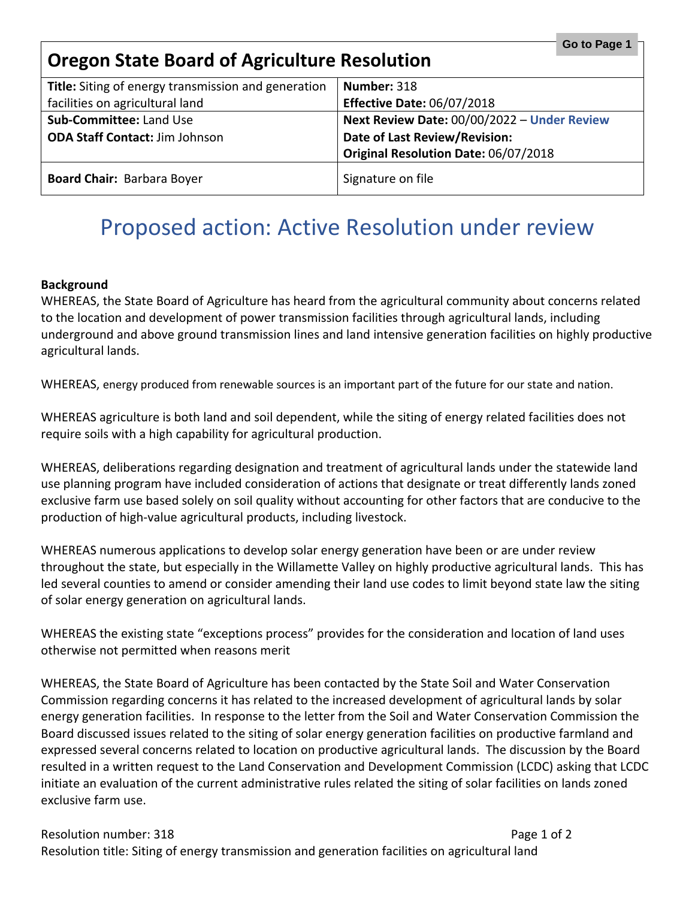<span id="page-17-0"></span>

| Go to Page 1<br><b>Oregon State Board of Agriculture Resolution</b> |                                             |
|---------------------------------------------------------------------|---------------------------------------------|
| Title: Siting of energy transmission and generation                 | Number: 318                                 |
| facilities on agricultural land                                     | <b>Effective Date: 06/07/2018</b>           |
| Sub-Committee: Land Use                                             | Next Review Date: 00/00/2022 - Under Review |
| <b>ODA Staff Contact: Jim Johnson</b>                               | Date of Last Review/Revision:               |
|                                                                     | Original Resolution Date: 06/07/2018        |
| <b>Board Chair: Barbara Boyer</b>                                   | Signature on file                           |

#### **Background**

WHEREAS, the State Board of Agriculture has heard from the agricultural community about concerns related to the location and development of power transmission facilities through agricultural lands, including underground and above ground transmission lines and land intensive generation facilities on highly productive agricultural lands.

WHEREAS, energy produced from renewable sources is an important part of the future for our state and nation.

WHEREAS agriculture is both land and soil dependent, while the siting of energy related facilities does not require soils with a high capability for agricultural production.

WHEREAS, deliberations regarding designation and treatment of agricultural lands under the statewide land use planning program have included consideration of actions that designate or treat differently lands zoned exclusive farm use based solely on soil quality without accounting for other factors that are conducive to the production of high-value agricultural products, including livestock.

WHEREAS numerous applications to develop solar energy generation have been or are under review throughout the state, but especially in the Willamette Valley on highly productive agricultural lands. This has led several counties to amend or consider amending their land use codes to limit beyond state law the siting of solar energy generation on agricultural lands.

WHEREAS the existing state "exceptions process" provides for the consideration and location of land uses otherwise not permitted when reasons merit

WHEREAS, the State Board of Agriculture has been contacted by the State Soil and Water Conservation Commission regarding concerns it has related to the increased development of agricultural lands by solar energy generation facilities. In response to the letter from the Soil and Water Conservation Commission the Board discussed issues related to the siting of solar energy generation facilities on productive farmland and expressed several concerns related to location on productive agricultural lands. The discussion by the Board resulted in a written request to the Land Conservation and Development Commission (LCDC) asking that LCDC initiate an evaluation of the current administrative rules related the siting of solar facilities on lands zoned exclusive farm use.